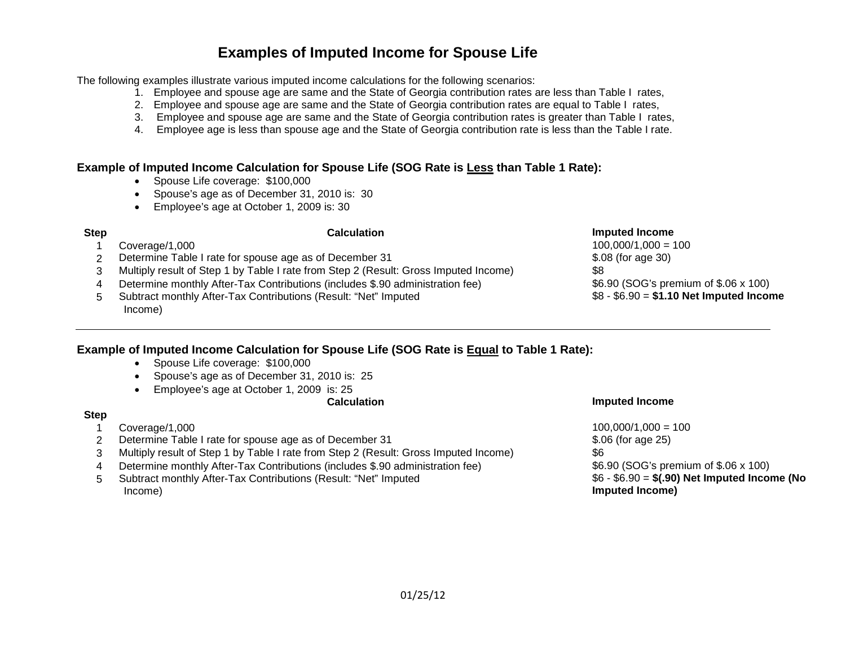# **Examples of Imputed Income for Spouse Life**

The following examples illustrate various imputed income calculations for the following scenarios:

- 1. Employee and spouse age are same and the State of Georgia contribution rates are less than Table I rates,
- 2. Employee and spouse age are same and the State of Georgia contribution rates are equal to Table I rates,
- 3. Employee and spouse age are same and the State of Georgia contribution rates is greater than Table I rates,
- 4. Employee age is less than spouse age and the State of Georgia contribution rate is less than the Table I rate.

## **Example of Imputed Income Calculation for Spouse Life (SOG Rate is Less than Table 1 Rate):**

- Spouse Life coverage: \$100,000
- Spouse's age as of December 31, 2010 is: 30
- Employee's age at October 1, 2009 is: 30

- 1 Coverage/1,000 100,000/1,000 = 100
- 2 Determine Table I rate for spouse age as of December 31  $$.08$  (for age 30)
- 3 Multiply result of Step 1 by Table I rate from Step 2 (Result: Gross Imputed Income) \$8

4 Determine monthly After-Tax Contributions (includes \$.90 administration fee) \$6.90 (SOG's premium of \$.06 x 100)

5 Subtract monthly After-Tax Contributions (Result: "Net" Imputed Income)

### **Step Calculation Imputed Income**

\$8 - \$6.90 = **\$1.10 Net Imputed Income**

## **Example of Imputed Income Calculation for Spouse Life (SOG Rate is Equal to Table 1 Rate):**

- Spouse Life coverage: \$100,000
- Spouse's age as of December 31, 2010 is: 25
- Employee's age at October 1, 2009 is: 25

## **Step**

- 1 Coverage/1,000 100,000/1,000 = 100
- 2 Determine Table I rate for spouse age as of December 31  $$.06$  (for age 25)
- 3 Multiply result of Step 1 by Table I rate from Step 2 (Result: Gross Imputed Income) \$6
- 4 Determine monthly After-Tax Contributions (includes \$.90 administration fee) \$6.90 (SOG's premium of \$.06 x 100)
- 5 Subtract monthly After-Tax Contributions (Result: "Net" Imputed Income)

### **Calculation Imputed Income**

\$6 - \$6.90 = **\$(.90) Net Imputed Income (No Imputed Income)**